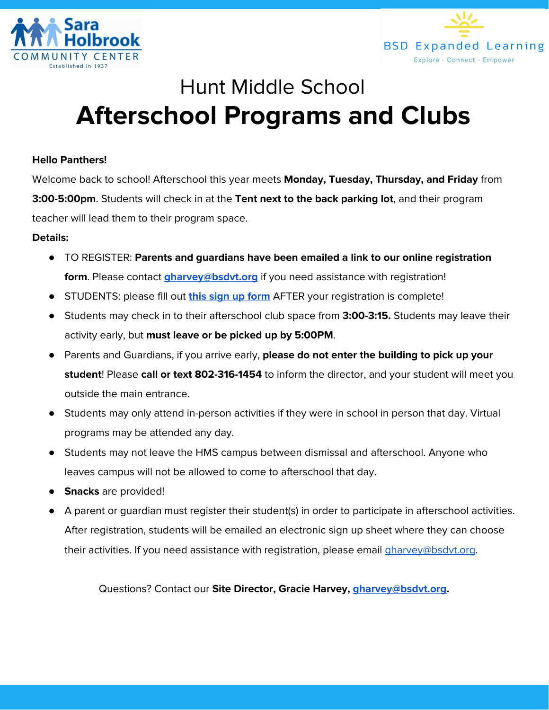



# Hunt Middle School **Afterschool Programs and Clubs**

### **Hello Panthers!**

Welcome back to school! Afterschool this year meets **Monday, Tuesday, Thursday, and Friday** from **3:00-5:00pm**. Students will check in at the **Tent next to the back parking lot**, and their program teacher will lead them to their program space.

#### **Details:**

- TO REGISTER: **Parents and guardians have been emailed a link to our online registration form**. Please contact **[gharvey@bsdvt.org](mailto:gharvey@bsdvt.org)** if you need assistance with registration!
- STUDENTS: please fill out **this sign up [form](https://docs.google.com/forms/d/1KTbAc2UEElACuL4GXHYmnTBJaUvxcx3Zy__2fLWllKc/)** AFTER your registration is complete!
- Students may check in to their afterschool club space from **3:00-3:15.** Students may leave their activity early, but **must leave or be picked up by 5:00PM**.
- Parents and Guardians, if you arrive early, **please do not enter the building to pick up your student**! Please **call or text 802-316-1454** to inform the director, and your student will meet you outside the main entrance.
- Students may only attend in-person activities if they were in school in person that day. Virtual programs may be attended any day.
- Students may not leave the HMS campus between dismissal and afterschool. Anyone who leaves campus will not be allowed to come to afterschool that day.
- **Snacks** are provided!
- A parent or guardian must register their student(s) in order to participate in afterschool activities. After registration, students will be emailed an electronic sign up sheet where they can choose their activities. If you need assistance with registration, please email *[gharvey@bsdvt.org](mailto:gharvey@bsdvt.org)*.

Questions? Contact our **Site Director, Gracie Harvey, [gharvey@bsdvt.org](mailto:gharvey@bsdvt.org).**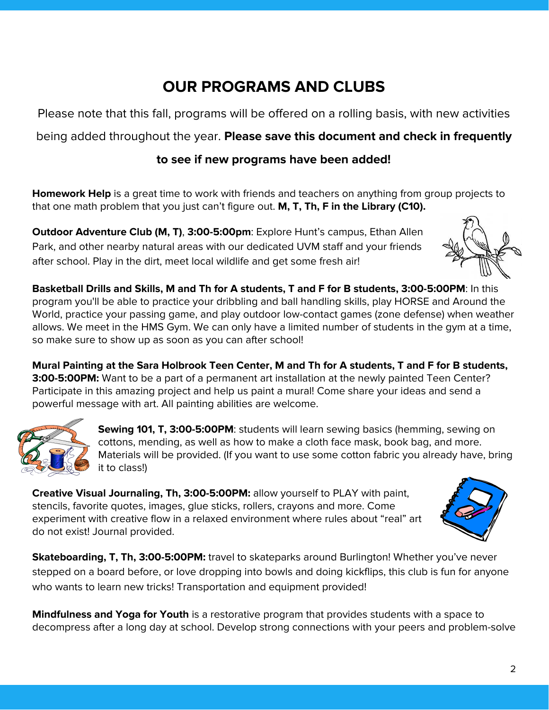# **OUR PROGRAMS AND CLUBS**

Please note that this fall, programs will be offered on a rolling basis, with new activities

being added throughout the year. **Please save this document and check in frequently**

### **to see if new programs have been added!**

**Homework Help** is a great time to work with friends and teachers on anything from group projects to that one math problem that you just can't figure out. **M, T, Th, F in the Library (C10).**

**Outdoor Adventure Club (M, T)**, **3:00-5:00pm**: Explore Hunt's campus, Ethan Allen Park, and other nearby natural areas with our dedicated UVM staff and your friends after school. Play in the dirt, meet local wildlife and get some fresh air!



**Basketball Drills and Skills, M and Th for A students, T and F for B students, 3:00-5:00PM**: In this program you'll be able to practice your dribbling and ball handling skills, play HORSE and Around the World, practice your passing game, and play outdoor low-contact games (zone defense) when weather allows. We meet in the HMS Gym. We can only have a limited number of students in the gym at a time, so make sure to show up as soon as you can after school!

Mural Painting at the Sara Holbrook Teen Center, M and Th for A students, T and F for B students, **3:00-5:00PM:** Want to be a part of a permanent art installation at the newly painted Teen Center? Participate in this amazing project and help us paint a mural! Come share your ideas and send a powerful message with art. All painting abilities are welcome.



**Sewing 101, T, 3:00-5:00PM**: students will learn sewing basics (hemming, sewing on cottons, mending, as well as how to make a cloth face mask, book bag, and more. Materials will be provided. (If you want to use some cotton fabric you already have, bring it to class!)

**Creative Visual Journaling, Th, 3:00-5:00PM:** allow yourself to PLAY with paint, stencils, favorite quotes, images, glue sticks, rollers, crayons and more. Come experiment with creative flow in a relaxed environment where rules about "real" art do not exist! Journal provided.



**Skateboarding, T, Th, 3:00-5:00PM:** travel to skateparks around Burlington! Whether you've never stepped on a board before, or love dropping into bowls and doing kickflips, this club is fun for anyone who wants to learn new tricks! Transportation and equipment provided!

**Mindfulness and Yoga for Youth** is a restorative program that provides students with a space to decompress after a long day at school. Develop strong connections with your peers and problem-solve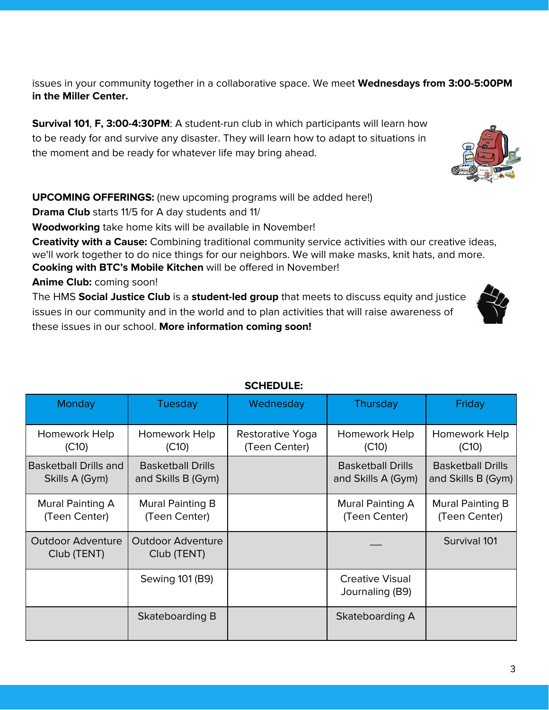issues in your community together in a collaborative space. We meet **Wednesdays from 3:00-5:00PM in the Miller Center.**

**Survival 101**, **F, 3:00-4:30PM**: A student-run club in which participants will learn how to be ready for and survive any disaster. They will learn how to adapt to situations in the moment and be ready for whatever life may bring ahead.

**UPCOMING OFFERINGS:** (new upcoming programs will be added here!)

**Drama Club** starts 11/5 for A day students and 11/

**Woodworking** take home kits will be available in November!

**Creativity with a Cause:** Combining traditional community service activities with our creative ideas, we'll work together to do nice things for our neighbors. We will make masks, knit hats, and more. **Cooking with BTC's Mobile Kitchen** will be offered in November!

**Anime Club:** coming soon!

The HMS **Social Justice Club** is a **student-led group** that meets to discuss equity and justice issues in our community and in the world and to plan activities that will raise awareness of these issues in our school. **More information coming soon!**

| <b>Monday</b>                                  | Tuesday                                        | Wednesday                         | Thursday                                       | Friday                                         |
|------------------------------------------------|------------------------------------------------|-----------------------------------|------------------------------------------------|------------------------------------------------|
| Homework Help<br>(C10)                         | Homework Help<br>(C10)                         | Restorative Yoga<br>(Teen Center) | Homework Help<br>(C10)                         | Homework Help<br>(C10)                         |
| <b>Basketball Drills and</b><br>Skills A (Gym) | <b>Basketball Drills</b><br>and Skills B (Gym) |                                   | <b>Basketball Drills</b><br>and Skills A (Gym) | <b>Basketball Drills</b><br>and Skills B (Gym) |
| Mural Painting A<br>(Teen Center)              | Mural Painting B<br>(Teen Center)              |                                   | Mural Painting A<br>(Teen Center)              | Mural Painting B<br>(Teen Center)              |
| <b>Outdoor Adventure</b><br>Club (TENT)        | <b>Outdoor Adventure</b><br>Club (TENT)        |                                   |                                                | Survival 101                                   |
|                                                | Sewing 101 (B9)                                |                                   | <b>Creative Visual</b><br>Journaling (B9)      |                                                |
|                                                | Skateboarding B                                |                                   | Skateboarding A                                |                                                |

### **SCHEDULE:**





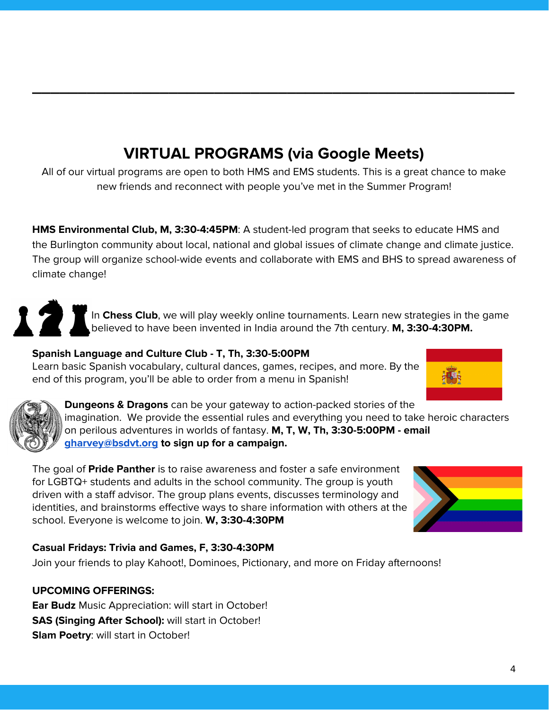# **VIRTUAL PROGRAMS (via Google Meets)**

**\_\_\_\_\_\_\_\_\_\_\_\_\_\_\_\_\_\_\_\_\_\_\_\_\_\_\_\_\_\_\_\_\_\_\_\_\_\_\_\_\_\_\_\_\_\_\_\_\_\_\_\_\_**

All of our virtual programs are open to both HMS and EMS students. This is a great chance to make new friends and reconnect with people you've met in the Summer Program!

**HMS Environmental Club, M, 3:30-4:45PM**: A student-led program that seeks to educate HMS and the Burlington community about local, national and global issues of climate change and climate justice. The group will organize school-wide events and collaborate with EMS and BHS to spread awareness of climate change!

> In **Chess Club**, we will play weekly online tournaments. Learn new strategies in the game believed to have been invented in India around the 7th century. **M, 3:30-4:30PM.**

## **Spanish Language and Culture Club - T, Th, 3:30-5:00PM**

Learn basic Spanish vocabulary, cultural dances, games, recipes, and more. By the end of this program, you'll be able to order from a menu in Spanish!





171

**Dungeons & Dragons** can be your gateway to action-packed stories of the imagination. We provide the essential rules and everything you need to take heroic characters on perilous adventures in worlds of fantasy. **M, T, W, Th, 3:30-5:00PM - email [gharvey@bsdvt.org](mailto:gharvey@bsdvt.org) to sign up for a campaign.**

The goal of **Pride Panther** is to raise awareness and foster a safe environment for LGBTQ+ students and adults in the school community. The group is youth driven with a staff advisor. The group plans events, discusses terminology and identities, and brainstorms effective ways to share information with others at the school. Everyone is welcome to join. **W, 3:30-4:30PM**



### **Casual Fridays: Trivia and Games, F, 3:30-4:30PM**

Join your friends to play Kahoot!, Dominoes, Pictionary, and more on Friday afternoons!

### **UPCOMING OFFERINGS:**

**Ear Budz** Music Appreciation: will start in October! **SAS (Singing After School):** will start in October! **Slam Poetry**: will start in October!